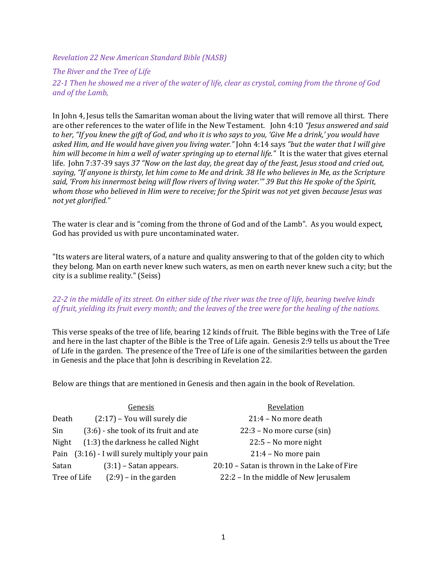Revelation 22 New American Standard Bible (NASB)

## The River and the Tree of Life

22-1 Then he showed me a river of the water of life, clear as crystal, coming from the throne of God and of the Lamb,

In John 4, Jesus tells the Samaritan woman about the living water that will remove all thirst. There are other references to the water of life in the New Testament. John 4:10 "Jesus answered and said to her, "If you knew the gift of God, and who it is who says to you, 'Give Me a drink,' you would have asked Him, and He would have given you living water." John 4:14 says "but the water that I will give him will become in him a well of water springing up to eternal life." It is the water that gives eternal life. John 7:37-39 says 37 "Now on the last day, the great day of the feast, Jesus stood and cried out, saying, "If anyone is thirsty, let him come to Me and drink. 38 He who believes in Me, as the Scripture said, 'From his innermost being will flow rivers of living water.'" 39 But this He spoke of the Spirit, whom those who believed in Him were to receive; for the Spirit was not yet given because Jesus was not yet glorified."

The water is clear and is "coming from the throne of God and of the Lamb". As you would expect, God has provided us with pure uncontaminated water.

"Its waters are literal waters, of a nature and quality answering to that of the golden city to which they belong. Man on earth never knew such waters, as men on earth never knew such a city; but the city is a sublime reality." (Seiss)

## 22-2 in the middle of its street. On either side of the river was the tree of life, bearing twelve kinds of fruit, yielding its fruit every month; and the leaves of the tree were for the healing of the nations.

This verse speaks of the tree of life, bearing 12 kinds of fruit. The Bible begins with the Tree of Life and here in the last chapter of the Bible is the Tree of Life again. Genesis 2:9 tells us about the Tree of Life in the garden. The presence of the Tree of Life is one of the similarities between the garden in Genesis and the place that John is describing in Revelation 22.

Below are things that are mentioned in Genesis and then again in the book of Revelation.

|              | Genesis                                     | Revelation                                  |
|--------------|---------------------------------------------|---------------------------------------------|
| Death        | $(2:17)$ – You will surely die              | 21:4 - No more death                        |
| Sin          | (3:6) - she took of its fruit and ate       | $22:3$ – No more curse (sin)                |
| Night        | (1:3) the darkness he called Night          | 22:5 - No more night                        |
| Pain         | $(3:16)$ - I will surely multiply your pain | $21:4 - No$ more pain                       |
| Satan        | $(3:1)$ – Satan appears.                    | 20:10 - Satan is thrown in the Lake of Fire |
| Tree of Life | $(2.9)$ – in the garden                     | 22:2 - In the middle of New Jerusalem       |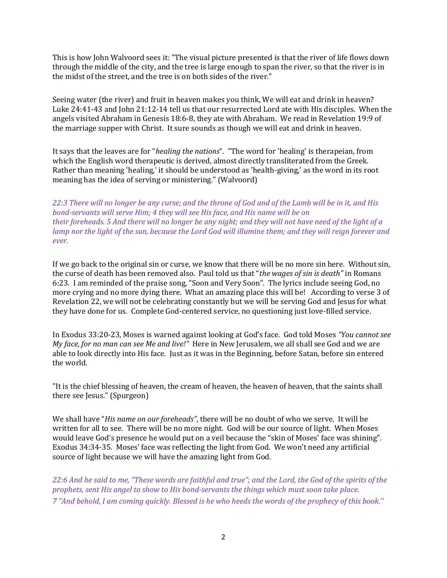This is how John Walvoord sees it: "The visual picture presented is that the river of life flows down through the middle of the city, and the tree is large enough to span the river, so that the river is in the midst of the street, and the tree is on both sides of the river."

Seeing water (the river) and fruit in heaven makes you think, We will eat and drink in heaven? Luke 24:41-43 and John 21:12-14 tell us that our resurrected Lord ate with His disciples. When the angels visited Abraham in Genesis 18:6-8, they ate with Abraham. We read in Revelation 19:9 of the marriage supper with Christ. It sure sounds as though we will eat and drink in heaven.

It says that the leaves are for "healing the nations". "The word for 'healing' is therapeian, from which the English word therapeutic is derived, almost directly transliterated from the Greek. Rather than meaning 'healing,' it should be understood as 'health-giving,' as the word in its root meaning has the idea of serving or ministering." (Walvoord)

22:3 There will no longer be any curse; and the throne of God and of the Lamb will be in it, and His bond-servants will serve Him; 4 they will see His face, and His name will be on their foreheads. 5 And there will no longer be any night; and they will not have need of the light of a lamp nor the light of the sun, because the Lord God will illumine them; and they will reign forever and ever.

If we go back to the original sin or curse, we know that there will be no more sin here. Without sin, the curse of death has been removed also. Paul told us that "the wages of sin is death" in Romans 6:23. I am reminded of the praise song, "Soon and Very Soon". The lyrics include seeing God, no more crying and no more dying there. What an amazing place this will be! According to verse 3 of Revelation 22, we will not be celebrating constantly but we will be serving God and Jesus for what they have done for us. Complete God-centered service, no questioning just love-filled service.

In Exodus 33:20-23, Moses is warned against looking at God's face. God told Moses "You cannot see My face, for no man can see Me and live!" Here in New Jerusalem, we all shall see God and we are able to look directly into His face. Just as it was in the Beginning, before Satan, before sin entered the world.

"It is the chief blessing of heaven, the cream of heaven, the heaven of heaven, that the saints shall there see Jesus." (Spurgeon)

We shall have "His name on our foreheads", there will be no doubt of who we serve. It will be written for all to see. There will be no more night. God will be our source of light. When Moses would leave God's presence he would put on a veil because the "skin of Moses' face was shining". Exodus 34:34-35. Moses' face was reflecting the light from God. We won't need any artificial source of light because we will have the amazing light from God.

22:6 And he said to me, "These words are faithful and true"; and the Lord, the God of the spirits of the prophets, sent His angel to show to His bond-servants the things which must soon take place. 7 "And behold, I am coming quickly. Blessed is he who heeds the words of the prophecy of this book."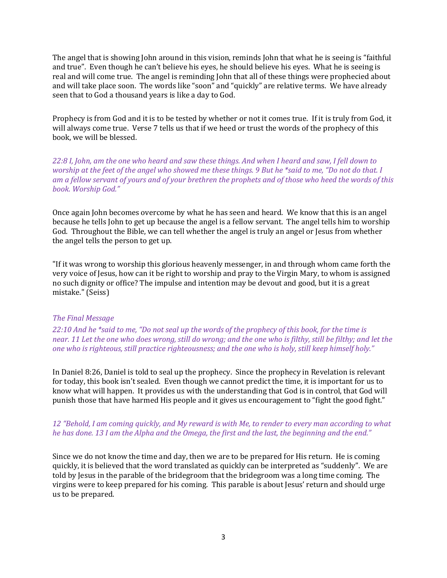The angel that is showing John around in this vision, reminds John that what he is seeing is "faithful and true". Even though he can't believe his eyes, he should believe his eyes. What he is seeing is real and will come true. The angel is reminding John that all of these things were prophecied about and will take place soon. The words like "soon" and "quickly" are relative terms. We have already seen that to God a thousand years is like a day to God.

Prophecy is from God and it is to be tested by whether or not it comes true. If it is truly from God, it will always come true. Verse 7 tells us that if we heed or trust the words of the prophecy of this book, we will be blessed.

22:8 I, John, am the one who heard and saw these things. And when I heard and saw, I fell down to worship at the feet of the angel who showed me these things. 9 But he \*said to me, "Do not do that. I am a fellow servant of yours and of your brethren the prophets and of those who heed the words of this book. Worship God."

Once again John becomes overcome by what he has seen and heard. We know that this is an angel because he tells John to get up because the angel is a fellow servant. The angel tells him to worship God. Throughout the Bible, we can tell whether the angel is truly an angel or Jesus from whether the angel tells the person to get up.

"If it was wrong to worship this glorious heavenly messenger, in and through whom came forth the very voice of Jesus, how can it be right to worship and pray to the Virgin Mary, to whom is assigned no such dignity or office? The impulse and intention may be devout and good, but it is a great mistake." (Seiss)

## The Final Message

22:10 And he \*said to me, "Do not seal up the words of the prophecy of this book, for the time is near. 11 Let the one who does wrong, still do wrong; and the one who is filthy, still be filthy; and let the one who is righteous, still practice righteousness; and the one who is holy, still keep himself holy."

In Daniel 8:26, Daniel is told to seal up the prophecy. Since the prophecy in Revelation is relevant for today, this book isn't sealed. Even though we cannot predict the time, it is important for us to know what will happen. It provides us with the understanding that God is in control, that God will punish those that have harmed His people and it gives us encouragement to "fight the good fight."

## 12 "Behold, I am coming quickly, and My reward is with Me, to render to every man according to what he has done. 13 I am the Alpha and the Omega, the first and the last, the beginning and the end."

Since we do not know the time and day, then we are to be prepared for His return. He is coming quickly, it is believed that the word translated as quickly can be interpreted as "suddenly". We are told by Jesus in the parable of the bridegroom that the bridegroom was a long time coming. The virgins were to keep prepared for his coming. This parable is about Jesus' return and should urge us to be prepared.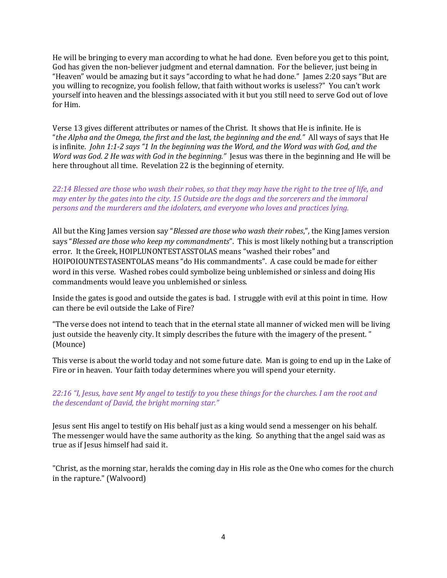He will be bringing to every man according to what he had done. Even before you get to this point, God has given the non-believer judgment and eternal damnation. For the believer, just being in "Heaven" would be amazing but it says "according to what he had done." James 2:20 says "But are you willing to recognize, you foolish fellow, that faith without works is useless?" You can't work yourself into heaven and the blessings associated with it but you still need to serve God out of love for Him.

Verse 13 gives different attributes or names of the Christ. It shows that He is infinite. He is "the Alpha and the Omega, the first and the last, the beginning and the end." All ways of says that He is infinite. John 1:1-2 says "1 In the beginning was the Word, and the Word was with God, and the Word was God. 2 He was with God in the beginning." Jesus was there in the beginning and He will be here throughout all time. Revelation 22 is the beginning of eternity.

22:14 Blessed are those who wash their robes, so that they may have the right to the tree of life, and may enter by the gates into the city. 15 Outside are the dogs and the sorcerers and the immoral persons and the murderers and the idolaters, and everyone who loves and practices lying.

All but the King James version say "Blessed are those who wash their robes,", the King James version says "Blessed are those who keep my commandments". This is most likely nothing but a transcription error. It the Greek, HOIPLUNONTESTASSTOLAS means "washed their robes" and HOIPOIOUNTESTASENTOLAS means "do His commandments". A case could be made for either word in this verse. Washed robes could symbolize being unblemished or sinless and doing His commandments would leave you unblemished or sinless.

Inside the gates is good and outside the gates is bad. I struggle with evil at this point in time. How can there be evil outside the Lake of Fire?

"The verse does not intend to teach that in the eternal state all manner of wicked men will be living just outside the heavenly city. It simply describes the future with the imagery of the present. " (Mounce)

This verse is about the world today and not some future date. Man is going to end up in the Lake of Fire or in heaven. Your faith today determines where you will spend your eternity.

22:16 "I, Jesus, have sent My angel to testify to you these things for the churches. I am the root and the descendant of David, the bright morning star."

Jesus sent His angel to testify on His behalf just as a king would send a messenger on his behalf. The messenger would have the same authority as the king. So anything that the angel said was as true as if Jesus himself had said it.

"Christ, as the morning star, heralds the coming day in His role as the One who comes for the church in the rapture." (Walvoord)